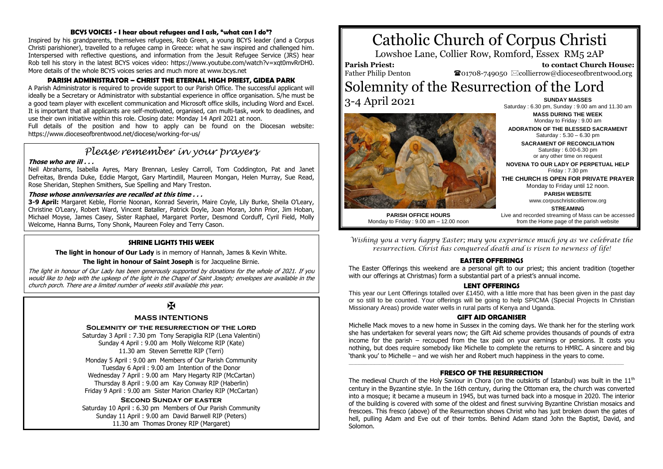#### **BCYS VOICES - I hear about refugees and I ask, "what can I do"?**

Inspired by his grandparents, themselves refugees, Rob Green, a young BCYS leader (and a Corpus Christi parishioner), travelled to a refugee camp in Greece: what he saw inspired and challenged him. Interspersed with reflective questions, and information from the Jesuit Refugee Service (JRS) hear Rob tell his story in the latest BCYS voices video: https://www.youtube.com/watch?v=xqt0mvRrDH0. More details of the whole BCYS voices series and much more at www.bcys.net

# **PARISH ADMINISTRATOR – CHRIST THE ETERNAL HIGH PRIEST, GIDEA PARK**

A Parish Administrator is required to provide support to our Parish Office. The successful applicant will ideally be a Secretary or Administrator with substantial experience in office organisation. S/he must be a good team player with excellent communication and Microsoft office skills, including Word and Excel. It is important that all applicants are self-motivated, organised, can multi-task, work to deadlines, and use their own initiative within this role. Closing date: Monday 14 April 2021 at noon.

Full details of the position and how to apply can be found on the Diocesan website: https://www.dioceseofbrentwood.net/diocese/working-for-us/

# *Please remember in your prayers*

#### **Those who are ill . . .**

Neil Abrahams, Isabella Ayres, Mary Brennan, Lesley Carroll, Tom Coddington, Pat and Janet Defreitas, Brenda Duke, Eddie Margot, Gary Martindill, Maureen Mongan, Helen Murray, Sue Read, Rose Sheridan, Stephen Smithers, Sue Spelling and Mary Treston.

#### **Those whose anniversaries are recalled at this time . . .**

**3-9 April:** Margaret Keble, Florrie Noonan, Konrad Severin, Maire Coyle, Lily Burke, Sheila O'Leary, Christine O'Leary, Robert Ward, Vincent Bataller, Patrick Doyle, Joan Moran, John Prior, Jim Hoban, Michael Moyse, James Casey, Sister Raphael, Margaret Porter, Desmond Corduff, Cyril Field, Molly Welcome, Hanna Burns, Tony Shonk, Maureen Foley and Terry Cason.

#### **SHRINE LIGHTS THIS WEEK**

**The light in honour of Our Lady** is in memory of Hannah, James & Kevin White.

#### **The light in honour of Saint Joseph** is for Jacqueline Birnie.

The light in honour of Our Lady has been generously supported by donations for the whole of 2021. If you would like to help with the upkeep of the light in the Chapel of Saint Joseph; envelopes are available in the church porch. There are a limited number of weeks still available this year.

# $\overline{M}$

## **MASS INTENTIONS**

**Solemnity of the resurrection of the lord**

Saturday 3 April : 7.30 pm Tony Serapiglia RIP (Lena Valentini) Sunday 4 April : 9.00 am Molly Welcome RIP (Kate) 11.30 am Steven Serrette RIP (Terri)

Monday 5 April : 9.00 am Members of Our Parish Community Tuesday 6 April : 9.00 am Intention of the Donor Wednesday 7 April : 9.00 am Mary Hegarty RIP (McCartan) Thursday 8 April : 9.00 am Kay Conway RIP (Haberlin) Friday 9 April : 9.00 am Sister Marion Charley RIP (McCartan)

**Second Sunday of easter** Saturday 10 April : 6.30 pm Members of Our Parish Community Sunday 11 April : 9.00 am David Barwell RIP (Peters) 11.30 am Thomas Droney RIP (Margaret)

# Catholic Church of Corpus Christi

Lowshoe Lane, Collier Row, Romford, Essex RM5 2AP

**Parish Priest:** Father Philip Denton

 **to contact Church House:**  $\bullet$ 01708-749050  $\boxtimes$ collierrow@dioceseofbrentwood.org

# Solemnity of the Resurrection of the Lord 3-4 April 2021 **SUNDAY MASSES**



Saturday : 6.30 pm, Sunday : 9.00 am and 11.30 am **MASS DURING THE WEEK** Monday to Friday : 9.00 am **ADORATION OF THE BLESSED SACRAMENT**

Saturday : 5.30 – 6.30 pm **SACRAMENT OF RECONCILIATION** Saturday : 6.00-6.30 pm or any other time on request

**NOVENA TO OUR LADY OF PERPETUAL HELP** Friday : 7.30 pm

**THE CHURCH IS OPEN FOR PRIVATE PRAYER** Monday to Friday until 12 noon.

**PARISH WEBSITE**

www.corpuschristicollierrow.org

from the Home page of the parish website

**STREAMING** Live and recorded streaming of Mass can be accessed

**PARISH OFFICE HOURS** Monday to Friday : 9.00 am – 12.00 noon

*Wishing you a very happy Easter; may you experience much joy as we celebrate the resurrection. Christ has conquered death and is risen to newness of life!*

#### **EASTER OFFERINGS**

The Easter Offerings this weekend are a personal gift to our priest; this ancient tradition (together with our offerings at Christmas) form a substantial part of a priest's annual income.

#### **LENT OFFERINGS**

This year our Lent Offerings totalled over £1450, with a little more that has been given in the past day or so still to be counted. Your offerings will be going to help SPICMA (Special Projects In Christian Missionary Areas) provide water wells in rural parts of Kenya and Uganda.

#### **GIFT AID ORGANISER**

Michelle Mack moves to a new home in Sussex in the coming days. We thank her for the sterling work she has undertaken for several years now; the Gift Aid scheme provides thousands of pounds of extra income for the parish – recouped from the tax paid on your earnings or pensions. It costs you nothing, but does require somebody like Michelle to complete the returns to HMRC. A sincere and big 'thank you' to Michelle – and we wish her and Robert much happiness in the years to come.

#### \_\_\_\_\_\_\_\_\_\_\_\_\_\_\_\_\_\_\_\_\_\_\_\_\_\_\_\_\_\_\_\_\_\_\_\_\_\_\_\_\_\_\_\_\_\_\_\_\_\_\_\_\_\_\_\_\_\_\_\_\_\_\_\_\_\_\_\_\_\_\_\_\_\_\_\_\_\_\_\_\_\_\_\_\_\_\_\_\_\_\_\_\_\_\_\_\_\_\_\_\_\_\_\_\_\_\_\_\_\_\_\_\_\_\_\_\_\_\_\_\_\_\_\_\_\_\_\_\_\_\_\_\_\_\_\_\_\_\_\_\_\_\_\_\_\_\_\_\_\_\_\_\_\_\_\_\_\_\_\_ **FRESCO OF THE RESURRECTION**

The medieval Church of the Holy Saviour in Chora (on the outskirts of Istanbul) was built in the  $11<sup>th</sup>$ century in the Byzantine style. In the 16th century, during the [Ottoman](https://en.wikipedia.org/wiki/Ottoman_Empire) era, the church was converted into a [mosque;](https://en.wikipedia.org/wiki/Mosque) it became a museum in 1945, but was turned back into a mosque in 2020. The interior of the building is covered with some of the oldest and finest surviving Byzantine Christian [mosaics](https://en.wikipedia.org/wiki/Mosaic) and [frescoes.](https://en.wikipedia.org/wiki/Fresco) This fresco (above) of the Resurrection shows Christ who has just broken down the gates of hell, pulling Adam and Eve out of their tombs. Behind Adam stand John the Baptist, David, and Solomon.